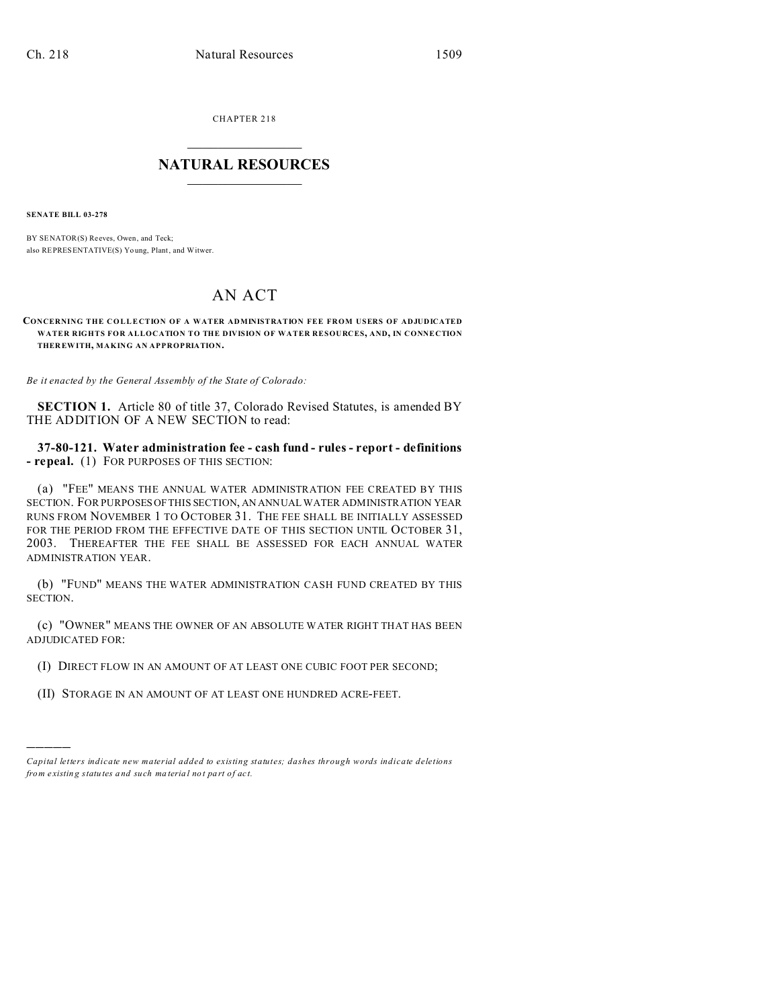CHAPTER 218  $\overline{\phantom{a}}$  , where  $\overline{\phantom{a}}$ 

## **NATURAL RESOURCES**  $\frac{1}{\sqrt{2}}$  ,  $\frac{1}{\sqrt{2}}$  ,  $\frac{1}{\sqrt{2}}$  ,  $\frac{1}{\sqrt{2}}$  ,  $\frac{1}{\sqrt{2}}$  ,  $\frac{1}{\sqrt{2}}$

**SENATE BILL 03-278**

)))))

BY SENATOR(S) Reeves, Owen, and Teck; also REPRESENTATIVE(S) Yo ung, Plant, and Witwer.

## AN ACT

**CONCERNING THE COLLECTION OF A WATER ADMINISTRATION FEE FROM USERS OF ADJUDICATED WATER RIGHTS FOR ALLOCATION TO THE DIVISION OF WATER RESOURCES, AND, IN CONNECTION THER EWITH, MAKING AN APPROPRIATION.**

*Be it enacted by the General Assembly of the State of Colorado:*

**SECTION 1.** Article 80 of title 37, Colorado Revised Statutes, is amended BY THE ADDITION OF A NEW SECTION to read:

**37-80-121. Water administration fee - cash fund - rules - report - definitions - repeal.** (1) FOR PURPOSES OF THIS SECTION:

(a) "FEE" MEANS THE ANNUAL WATER ADMINISTRATION FEE CREATED BY THIS SECTION. FOR PURPOSESOFTHIS SECTION, AN ANNUAL WATER ADMINISTRATION YEAR RUNS FROM NOVEMBER 1 TO OCTOBER 31. THE FEE SHALL BE INITIALLY ASSESSED FOR THE PERIOD FROM THE EFFECTIVE DATE OF THIS SECTION UNTIL OCTOBER 31, 2003. THEREAFTER THE FEE SHALL BE ASSESSED FOR EACH ANNUAL WATER ADMINISTRATION YEAR.

(b) "FUND" MEANS THE WATER ADMINISTRATION CASH FUND CREATED BY THIS SECTION.

(c) "OWNER" MEANS THE OWNER OF AN ABSOLUTE WATER RIGHT THAT HAS BEEN ADJUDICATED FOR:

(I) DIRECT FLOW IN AN AMOUNT OF AT LEAST ONE CUBIC FOOT PER SECOND;

(II) STORAGE IN AN AMOUNT OF AT LEAST ONE HUNDRED ACRE-FEET.

*Capital letters indicate new material added to existing statutes; dashes through words indicate deletions from e xistin g statu tes a nd such ma teria l no t pa rt of ac t.*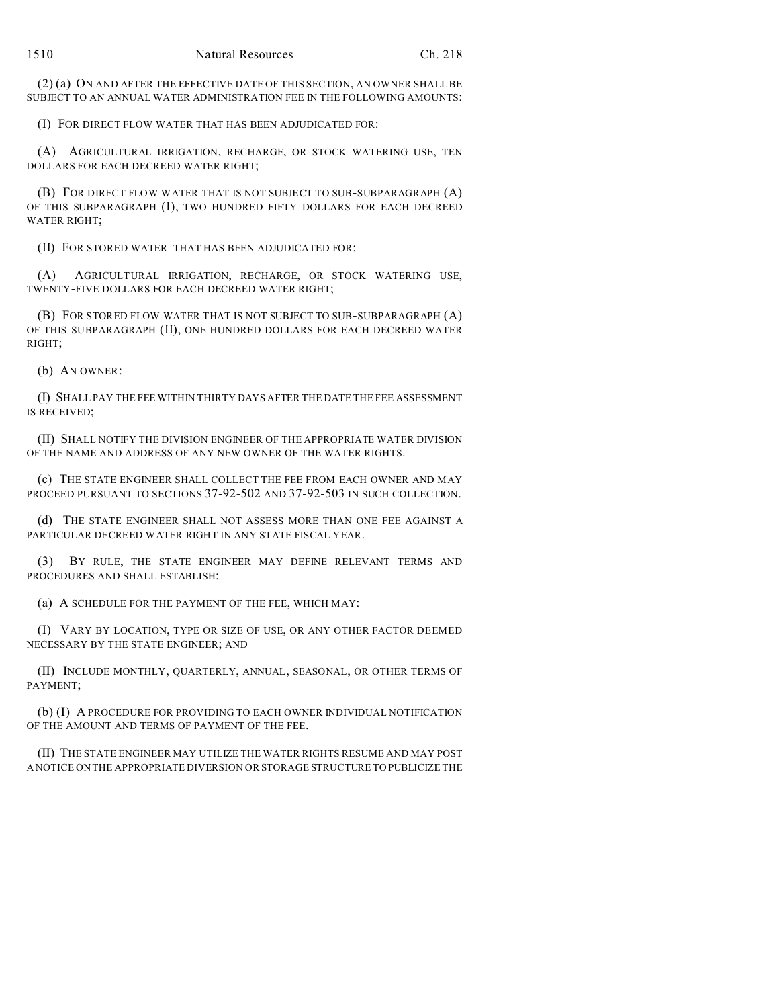(2) (a) ON AND AFTER THE EFFECTIVE DATE OF THIS SECTION, AN OWNER SHALL BE SUBJECT TO AN ANNUAL WATER ADMINISTRATION FEE IN THE FOLLOWING AMOUNTS:

(I) FOR DIRECT FLOW WATER THAT HAS BEEN ADJUDICATED FOR:

(A) AGRICULTURAL IRRIGATION, RECHARGE, OR STOCK WATERING USE, TEN DOLLARS FOR EACH DECREED WATER RIGHT;

(B) FOR DIRECT FLOW WATER THAT IS NOT SUBJECT TO SUB-SUBPARAGRAPH (A) OF THIS SUBPARAGRAPH (I), TWO HUNDRED FIFTY DOLLARS FOR EACH DECREED WATER RIGHT;

(II) FOR STORED WATER THAT HAS BEEN ADJUDICATED FOR:

(A) AGRICULTURAL IRRIGATION, RECHARGE, OR STOCK WATERING USE, TWENTY-FIVE DOLLARS FOR EACH DECREED WATER RIGHT;

(B) FOR STORED FLOW WATER THAT IS NOT SUBJECT TO SUB-SUBPARAGRAPH (A) OF THIS SUBPARAGRAPH (II), ONE HUNDRED DOLLARS FOR EACH DECREED WATER RIGHT;

(b) AN OWNER:

(I) SHALL PAY THE FEE WITHIN THIRTY DAYS AFTER THE DATE THE FEE ASSESSMENT IS RECEIVED;

(II) SHALL NOTIFY THE DIVISION ENGINEER OF THE APPROPRIATE WATER DIVISION OF THE NAME AND ADDRESS OF ANY NEW OWNER OF THE WATER RIGHTS.

(c) THE STATE ENGINEER SHALL COLLECT THE FEE FROM EACH OWNER AND MAY PROCEED PURSUANT TO SECTIONS 37-92-502 AND 37-92-503 IN SUCH COLLECTION.

(d) THE STATE ENGINEER SHALL NOT ASSESS MORE THAN ONE FEE AGAINST A PARTICULAR DECREED WATER RIGHT IN ANY STATE FISCAL YEAR.

(3) BY RULE, THE STATE ENGINEER MAY DEFINE RELEVANT TERMS AND PROCEDURES AND SHALL ESTABLISH:

(a) A SCHEDULE FOR THE PAYMENT OF THE FEE, WHICH MAY:

(I) VARY BY LOCATION, TYPE OR SIZE OF USE, OR ANY OTHER FACTOR DEEMED NECESSARY BY THE STATE ENGINEER; AND

(II) INCLUDE MONTHLY, QUARTERLY, ANNUAL, SEASONAL, OR OTHER TERMS OF PAYMENT;

(b) (I) A PROCEDURE FOR PROVIDING TO EACH OWNER INDIVIDUAL NOTIFICATION OF THE AMOUNT AND TERMS OF PAYMENT OF THE FEE.

(II) THE STATE ENGINEER MAY UTILIZE THE WATER RIGHTS RESUME AND MAY POST A NOTICE ON THE APPROPRIATE DIVERSION OR STORAGE STRUCTURE TO PUBLICIZE THE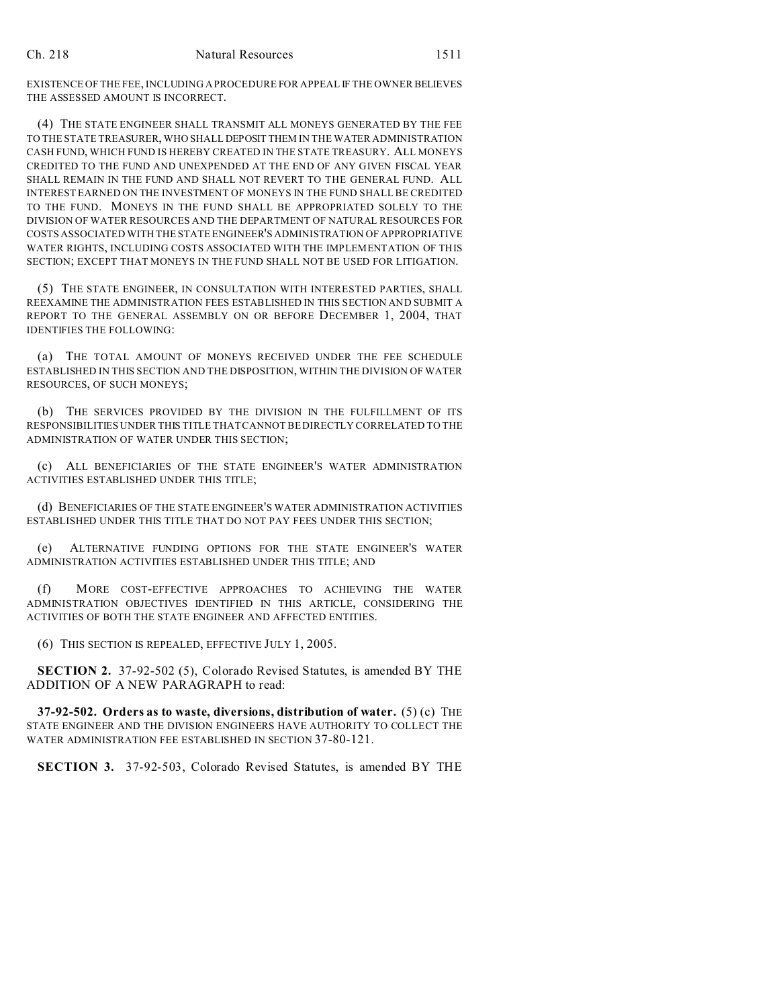EXISTENCE OF THE FEE, INCLUDING A PROCEDURE FOR APPEAL IF THE OWNER BELIEVES THE ASSESSED AMOUNT IS INCORRECT.

(4) THE STATE ENGINEER SHALL TRANSMIT ALL MONEYS GENERATED BY THE FEE TO THE STATE TREASURER, WHO SHALL DEPOSIT THEM IN THE WATER ADMINISTRATION CASH FUND, WHICH FUND IS HEREBY CREATED IN THE STATE TREASURY. ALL MONEYS CREDITED TO THE FUND AND UNEXPENDED AT THE END OF ANY GIVEN FISCAL YEAR SHALL REMAIN IN THE FUND AND SHALL NOT REVERT TO THE GENERAL FUND. ALL INTEREST EARNED ON THE INVESTMENT OF MONEYS IN THE FUND SHALL BE CREDITED TO THE FUND. MONEYS IN THE FUND SHALL BE APPROPRIATED SOLELY TO THE DIVISION OF WATER RESOURCES AND THE DEPARTMENT OF NATURAL RESOURCES FOR COSTS ASSOCIATED WITH THE STATE ENGINEER'S ADMINISTRATION OF APPROPRIATIVE WATER RIGHTS, INCLUDING COSTS ASSOCIATED WITH THE IMPLEMENTATION OF THIS SECTION; EXCEPT THAT MONEYS IN THE FUND SHALL NOT BE USED FOR LITIGATION.

(5) THE STATE ENGINEER, IN CONSULTATION WITH INTERESTED PARTIES, SHALL REEXAMINE THE ADMINISTRATION FEES ESTABLISHED IN THIS SECTION AND SUBMIT A REPORT TO THE GENERAL ASSEMBLY ON OR BEFORE DECEMBER 1, 2004, THAT IDENTIFIES THE FOLLOWING:

(a) THE TOTAL AMOUNT OF MONEYS RECEIVED UNDER THE FEE SCHEDULE ESTABLISHED IN THIS SECTION AND THE DISPOSITION, WITHIN THE DIVISION OF WATER RESOURCES, OF SUCH MONEYS;

(b) THE SERVICES PROVIDED BY THE DIVISION IN THE FULFILLMENT OF ITS RESPONSIBILITIES UNDER THIS TITLE THAT CANNOT BE DIRECTLY CORRELATED TO THE ADMINISTRATION OF WATER UNDER THIS SECTION;

(c) ALL BENEFICIARIES OF THE STATE ENGINEER'S WATER ADMINISTRATION ACTIVITIES ESTABLISHED UNDER THIS TITLE;

(d) BENEFICIARIES OF THE STATE ENGINEER'S WATER ADMINISTRATION ACTIVITIES ESTABLISHED UNDER THIS TITLE THAT DO NOT PAY FEES UNDER THIS SECTION;

(e) ALTERNATIVE FUNDING OPTIONS FOR THE STATE ENGINEER'S WATER ADMINISTRATION ACTIVITIES ESTABLISHED UNDER THIS TITLE; AND

(f) MORE COST-EFFECTIVE APPROACHES TO ACHIEVING THE WATER ADMINISTRATION OBJECTIVES IDENTIFIED IN THIS ARTICLE, CONSIDERING THE ACTIVITIES OF BOTH THE STATE ENGINEER AND AFFECTED ENTITIES.

(6) THIS SECTION IS REPEALED, EFFECTIVE JULY 1, 2005.

**SECTION 2.** 37-92-502 (5), Colorado Revised Statutes, is amended BY THE ADDITION OF A NEW PARAGRAPH to read:

**37-92-502. Orders as to waste, diversions, distribution of water.** (5) (c) THE STATE ENGINEER AND THE DIVISION ENGINEERS HAVE AUTHORITY TO COLLECT THE WATER ADMINISTRATION FEE ESTABLISHED IN SECTION 37-80-121.

**SECTION 3.** 37-92-503, Colorado Revised Statutes, is amended BY THE